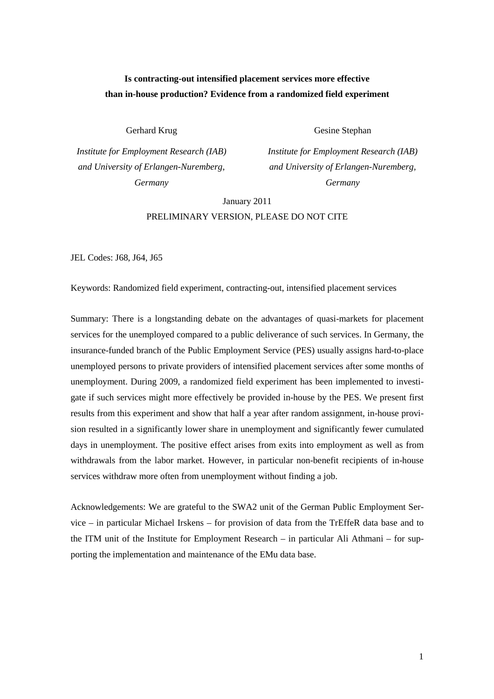# **Is contracting-out intensified placement services more effective than in-house production? Evidence from a randomized field experiment**

Gerhard Krug

*Institute for Employment Research (IAB) and University of Erlangen-Nuremberg, Germany* 

Gesine Stephan

*Institute for Employment Research (IAB) and University of Erlangen-Nuremberg, Germany*

January 2011

PRELIMINARY VERSION, PLEASE DO NOT CITE

JEL Codes: J68, J64, J65

Keywords: Randomized field experiment, contracting-out, intensified placement services

Summary: There is a longstanding debate on the advantages of quasi-markets for placement services for the unemployed compared to a public deliverance of such services. In Germany, the insurance-funded branch of the Public Employment Service (PES) usually assigns hard-to-place unemployed persons to private providers of intensified placement services after some months of unemployment. During 2009, a randomized field experiment has been implemented to investigate if such services might more effectively be provided in-house by the PES. We present first results from this experiment and show that half a year after random assignment, in-house provision resulted in a significantly lower share in unemployment and significantly fewer cumulated days in unemployment. The positive effect arises from exits into employment as well as from withdrawals from the labor market. However, in particular non-benefit recipients of in-house services withdraw more often from unemployment without finding a job.

Acknowledgements: We are grateful to the SWA2 unit of the German Public Employment Service – in particular Michael Irskens – for provision of data from the TrEffeR data base and to the ITM unit of the Institute for Employment Research – in particular Ali Athmani – for supporting the implementation and maintenance of the EMu data base.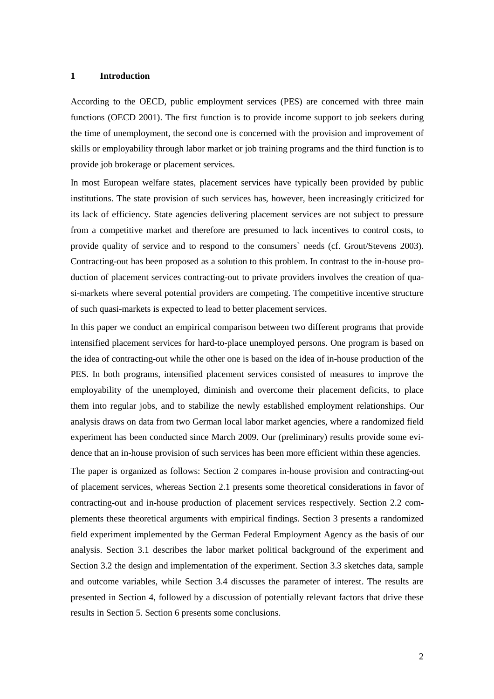#### **1 Introduction**

According to the OECD, public employment services (PES) are concerned with three main functions (OECD 2001). The first function is to provide income support to job seekers during the time of unemployment, the second one is concerned with the provision and improvement of skills or employability through labor market or job training programs and the third function is to provide job brokerage or placement services.

In most European welfare states, placement services have typically been provided by public institutions. The state provision of such services has, however, been increasingly criticized for its lack of efficiency. State agencies delivering placement services are not subject to pressure from a competitive market and therefore are presumed to lack incentives to control costs, to provide quality of service and to respond to the consumers` needs (cf. Grout/Stevens 2003). Contracting-out has been proposed as a solution to this problem. In contrast to the in-house production of placement services contracting-out to private providers involves the creation of quasi-markets where several potential providers are competing. The competitive incentive structure of such quasi-markets is expected to lead to better placement services.

In this paper we conduct an empirical comparison between two different programs that provide intensified placement services for hard-to-place unemployed persons. One program is based on the idea of contracting-out while the other one is based on the idea of in-house production of the PES. In both programs, intensified placement services consisted of measures to improve the employability of the unemployed, diminish and overcome their placement deficits, to place them into regular jobs, and to stabilize the newly established employment relationships. Our analysis draws on data from two German local labor market agencies, where a randomized field experiment has been conducted since March 2009. Our (preliminary) results provide some evidence that an in-house provision of such services has been more efficient within these agencies.

The paper is organized as follows: Section 2 compares in-house provision and contracting-out of placement services, whereas Section 2.1 presents some theoretical considerations in favor of contracting-out and in-house production of placement services respectively. Section 2.2 complements these theoretical arguments with empirical findings. Section 3 presents a randomized field experiment implemented by the German Federal Employment Agency as the basis of our analysis. Section 3.1 describes the labor market political background of the experiment and Section 3.2 the design and implementation of the experiment. Section 3.3 sketches data, sample and outcome variables, while Section 3.4 discusses the parameter of interest. The results are presented in Section 4, followed by a discussion of potentially relevant factors that drive these results in Section 5. Section 6 presents some conclusions.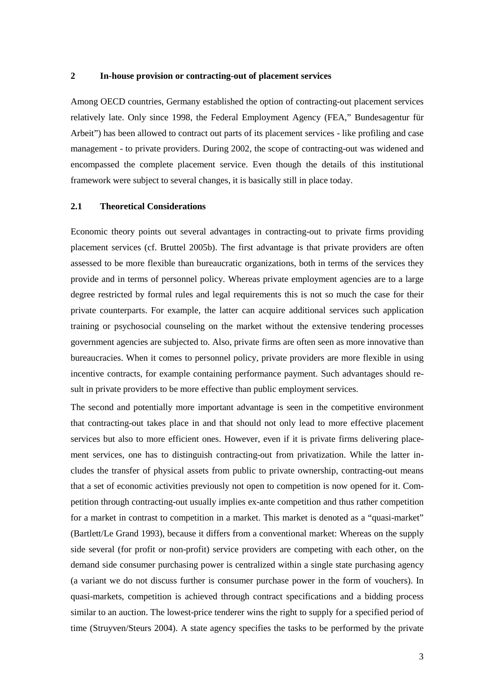## **2 In-house provision or contracting-out of placement services**

Among OECD countries, Germany established the option of contracting-out placement services relatively late. Only since 1998, the Federal Employment Agency (FEA," Bundesagentur für Arbeit") has been allowed to contract out parts of its placement services - like profiling and case management - to private providers. During 2002, the scope of contracting-out was widened and encompassed the complete placement service. Even though the details of this institutional framework were subject to several changes, it is basically still in place today.

## **2.1 Theoretical Considerations**

Economic theory points out several advantages in contracting-out to private firms providing placement services (cf. Bruttel 2005b). The first advantage is that private providers are often assessed to be more flexible than bureaucratic organizations, both in terms of the services they provide and in terms of personnel policy. Whereas private employment agencies are to a large degree restricted by formal rules and legal requirements this is not so much the case for their private counterparts. For example, the latter can acquire additional services such application training or psychosocial counseling on the market without the extensive tendering processes government agencies are subjected to. Also, private firms are often seen as more innovative than bureaucracies. When it comes to personnel policy, private providers are more flexible in using incentive contracts, for example containing performance payment. Such advantages should result in private providers to be more effective than public employment services.

The second and potentially more important advantage is seen in the competitive environment that contracting-out takes place in and that should not only lead to more effective placement services but also to more efficient ones. However, even if it is private firms delivering placement services, one has to distinguish contracting-out from privatization. While the latter includes the transfer of physical assets from public to private ownership, contracting-out means that a set of economic activities previously not open to competition is now opened for it. Competition through contracting-out usually implies ex-ante competition and thus rather competition for a market in contrast to competition in a market. This market is denoted as a "quasi-market" (Bartlett/Le Grand 1993), because it differs from a conventional market: Whereas on the supply side several (for profit or non-profit) service providers are competing with each other, on the demand side consumer purchasing power is centralized within a single state purchasing agency (a variant we do not discuss further is consumer purchase power in the form of vouchers). In quasi-markets, competition is achieved through contract specifications and a bidding process similar to an auction. The lowest-price tenderer wins the right to supply for a specified period of time (Struyven/Steurs 2004). A state agency specifies the tasks to be performed by the private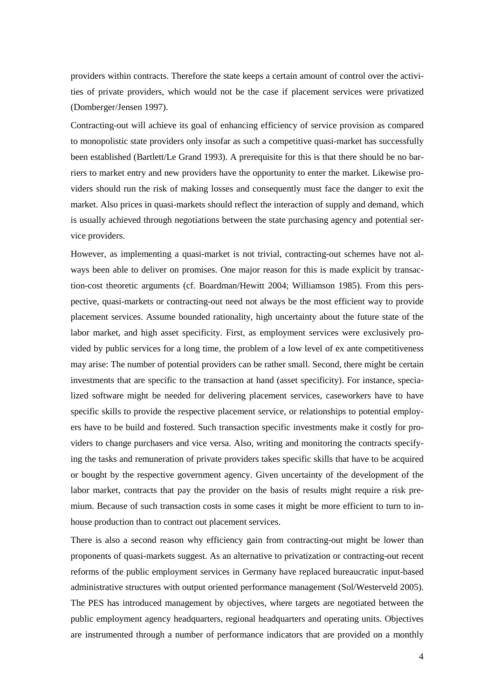providers within contracts. Therefore the state keeps a certain amount of control over the activities of private providers, which would not be the case if placement services were privatized (Domberger/Jensen 1997).

Contracting-out will achieve its goal of enhancing efficiency of service provision as compared to monopolistic state providers only insofar as such a competitive quasi-market has successfully been established (Bartlett/Le Grand 1993). A prerequisite for this is that there should be no barriers to market entry and new providers have the opportunity to enter the market. Likewise providers should run the risk of making losses and consequently must face the danger to exit the market. Also prices in quasi-markets should reflect the interaction of supply and demand, which is usually achieved through negotiations between the state purchasing agency and potential service providers.

However, as implementing a quasi-market is not trivial, contracting-out schemes have not always been able to deliver on promises. One major reason for this is made explicit by transaction-cost theoretic arguments (cf. Boardman/Hewitt 2004; Williamson 1985). From this perspective, quasi-markets or contracting-out need not always be the most efficient way to provide placement services. Assume bounded rationality, high uncertainty about the future state of the labor market, and high asset specificity. First, as employment services were exclusively provided by public services for a long time, the problem of a low level of ex ante competitiveness may arise: The number of potential providers can be rather small. Second, there might be certain investments that are specific to the transaction at hand (asset specificity). For instance, specialized software might be needed for delivering placement services, caseworkers have to have specific skills to provide the respective placement service, or relationships to potential employers have to be build and fostered. Such transaction specific investments make it costly for providers to change purchasers and vice versa. Also, writing and monitoring the contracts specifying the tasks and remuneration of private providers takes specific skills that have to be acquired or bought by the respective government agency. Given uncertainty of the development of the labor market, contracts that pay the provider on the basis of results might require a risk premium. Because of such transaction costs in some cases it might be more efficient to turn to inhouse production than to contract out placement services.

There is also a second reason why efficiency gain from contracting-out might be lower than proponents of quasi-markets suggest. As an alternative to privatization or contracting-out recent reforms of the public employment services in Germany have replaced bureaucratic input-based administrative structures with output oriented performance management (Sol/Westerveld 2005). The PES has introduced management by objectives, where targets are negotiated between the public employment agency headquarters, regional headquarters and operating units. Objectives are instrumented through a number of performance indicators that are provided on a monthly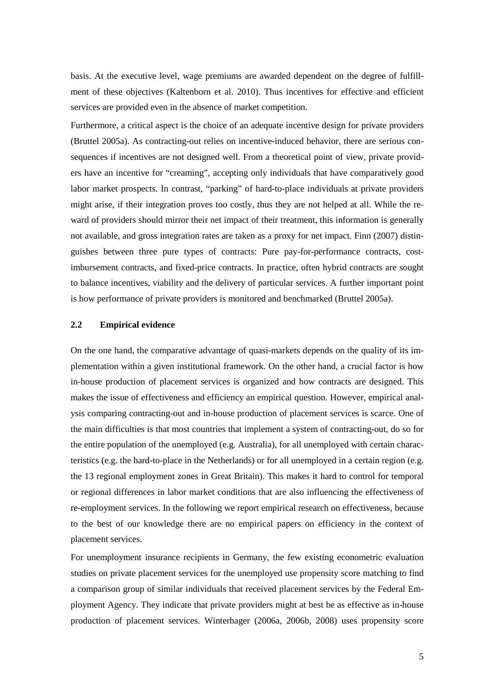basis. At the executive level, wage premiums are awarded dependent on the degree of fulfillment of these objectives (Kaltenborn et al. 2010). Thus incentives for effective and efficient services are provided even in the absence of market competition.

Furthermore, a critical aspect is the choice of an adequate incentive design for private providers (Bruttel 2005a). As contracting-out relies on incentive-induced behavior, there are serious consequences if incentives are not designed well. From a theoretical point of view, private providers have an incentive for "creaming", accepting only individuals that have comparatively good labor market prospects. In contrast, "parking" of hard-to-place individuals at private providers might arise, if their integration proves too costly, thus they are not helped at all. While the reward of providers should mirror their net impact of their treatment, this information is generally not available, and gross integration rates are taken as a proxy for net impact. Finn (2007) distinguishes between three pure types of contracts: Pure pay-for-performance contracts, costimbursement contracts, and fixed-price contracts. In practice, often hybrid contracts are sought to balance incentives, viability and the delivery of particular services. A further important point is how performance of private providers is monitored and benchmarked (Bruttel 2005a).

## **2.2 Empirical evidence**

On the one hand, the comparative advantage of quasi-markets depends on the quality of its implementation within a given institutional framework. On the other hand, a crucial factor is how in-house production of placement services is organized and how contracts are designed. This makes the issue of effectiveness and efficiency an empirical question. However, empirical analysis comparing contracting-out and in-house production of placement services is scarce. One of the main difficulties is that most countries that implement a system of contracting-out, do so for the entire population of the unemployed (e.g. Australia), for all unemployed with certain characteristics (e.g. the hard-to-place in the Netherlands) or for all unemployed in a certain region (e.g. the 13 regional employment zones in Great Britain). This makes it hard to control for temporal or regional differences in labor market conditions that are also influencing the effectiveness of re-employment services. In the following we report empirical research on effectiveness, because to the best of our knowledge there are no empirical papers on efficiency in the context of placement services.

For unemployment insurance recipients in Germany, the few existing econometric evaluation studies on private placement services for the unemployed use propensity score matching to find a comparison group of similar individuals that received placement services by the Federal Employment Agency. They indicate that private providers might at best be as effective as in-house production of placement services. Winterhager (2006a, 2006b, 2008) uses propensity score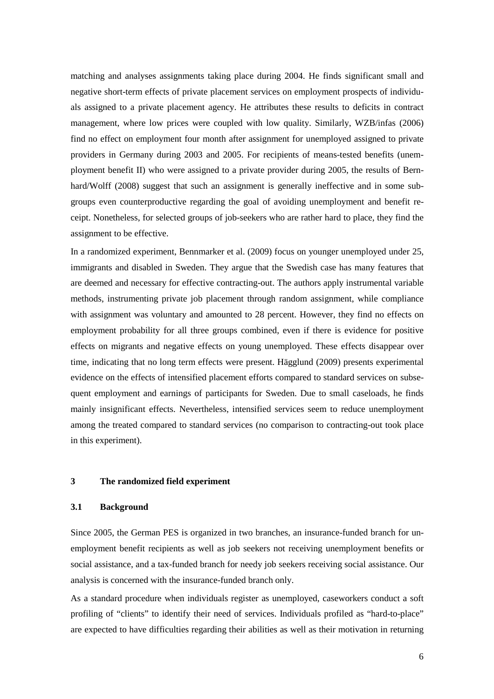matching and analyses assignments taking place during 2004. He finds significant small and negative short-term effects of private placement services on employment prospects of individuals assigned to a private placement agency. He attributes these results to deficits in contract management, where low prices were coupled with low quality. Similarly, WZB/infas (2006) find no effect on employment four month after assignment for unemployed assigned to private providers in Germany during 2003 and 2005. For recipients of means-tested benefits (unemployment benefit II) who were assigned to a private provider during 2005, the results of Bernhard/Wolff (2008) suggest that such an assignment is generally ineffective and in some subgroups even counterproductive regarding the goal of avoiding unemployment and benefit receipt. Nonetheless, for selected groups of job-seekers who are rather hard to place, they find the assignment to be effective.

In a randomized experiment, Bennmarker et al. (2009) focus on younger unemployed under 25, immigrants and disabled in Sweden. They argue that the Swedish case has many features that are deemed and necessary for effective contracting-out. The authors apply instrumental variable methods, instrumenting private job placement through random assignment, while compliance with assignment was voluntary and amounted to 28 percent. However, they find no effects on employment probability for all three groups combined, even if there is evidence for positive effects on migrants and negative effects on young unemployed. These effects disappear over time, indicating that no long term effects were present. Hägglund (2009) presents experimental evidence on the effects of intensified placement efforts compared to standard services on subsequent employment and earnings of participants for Sweden. Due to small caseloads, he finds mainly insignificant effects. Nevertheless, intensified services seem to reduce unemployment among the treated compared to standard services (no comparison to contracting-out took place in this experiment).

## **3 The randomized field experiment**

## **3.1 Background**

Since 2005, the German PES is organized in two branches, an insurance-funded branch for unemployment benefit recipients as well as job seekers not receiving unemployment benefits or social assistance, and a tax-funded branch for needy job seekers receiving social assistance. Our analysis is concerned with the insurance-funded branch only.

As a standard procedure when individuals register as unemployed, caseworkers conduct a soft profiling of "clients" to identify their need of services. Individuals profiled as "hard-to-place" are expected to have difficulties regarding their abilities as well as their motivation in returning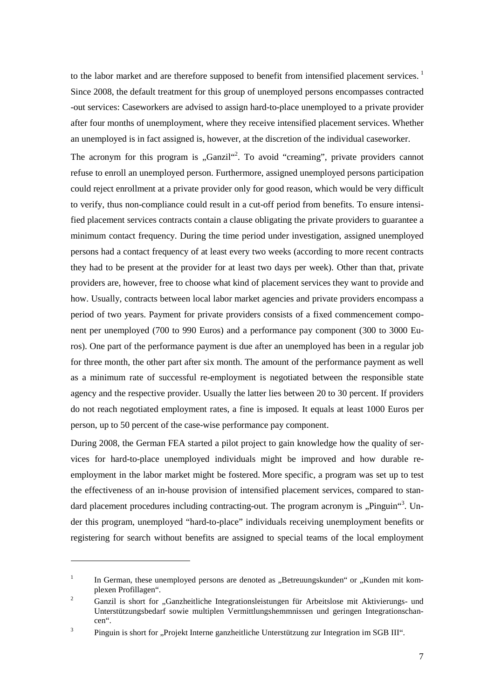to the labor market and are therefore supposed to benefit from intensified placement services.<sup>1</sup> Since 2008, the default treatment for this group of unemployed persons encompasses contracted -out services: Caseworkers are advised to assign hard-to-place unemployed to a private provider after four months of unemployment, where they receive intensified placement services. Whether an unemployed is in fact assigned is, however, at the discretion of the individual caseworker.

The acronym for this program is "Ganzil"<sup>2</sup>. To avoid "creaming", private providers cannot refuse to enroll an unemployed person. Furthermore, assigned unemployed persons participation could reject enrollment at a private provider only for good reason, which would be very difficult to verify, thus non-compliance could result in a cut-off period from benefits. To ensure intensified placement services contracts contain a clause obligating the private providers to guarantee a minimum contact frequency. During the time period under investigation, assigned unemployed persons had a contact frequency of at least every two weeks (according to more recent contracts they had to be present at the provider for at least two days per week). Other than that, private providers are, however, free to choose what kind of placement services they want to provide and how. Usually, contracts between local labor market agencies and private providers encompass a period of two years. Payment for private providers consists of a fixed commencement component per unemployed (700 to 990 Euros) and a performance pay component (300 to 3000 Euros). One part of the performance payment is due after an unemployed has been in a regular job for three month, the other part after six month. The amount of the performance payment as well as a minimum rate of successful re-employment is negotiated between the responsible state agency and the respective provider. Usually the latter lies between 20 to 30 percent. If providers do not reach negotiated employment rates, a fine is imposed. It equals at least 1000 Euros per person, up to 50 percent of the case-wise performance pay component.

During 2008, the German FEA started a pilot project to gain knowledge how the quality of services for hard-to-place unemployed individuals might be improved and how durable reemployment in the labor market might be fostered. More specific, a program was set up to test the effectiveness of an in-house provision of intensified placement services, compared to standard placement procedures including contracting-out. The program acronym is "Pinguin"<sup>3</sup>. Under this program, unemployed "hard-to-place" individuals receiving unemployment benefits or registering for search without benefits are assigned to special teams of the local employment

 $\overline{a}$ 

<sup>1</sup> In German, these unemployed persons are denoted as ..Betreuungskunden" or ..Kunden mit komplexen Profillagen".

<sup>2</sup> Ganzil is short for "Ganzheitliche Integrationsleistungen für Arbeitslose mit Aktivierungs- und Unterstützungsbedarf sowie multiplen Vermittlungshemmnissen und geringen Integrationschancen".

<sup>3</sup> Pinguin is short for "Projekt Interne ganzheitliche Unterstützung zur Integration im SGB III".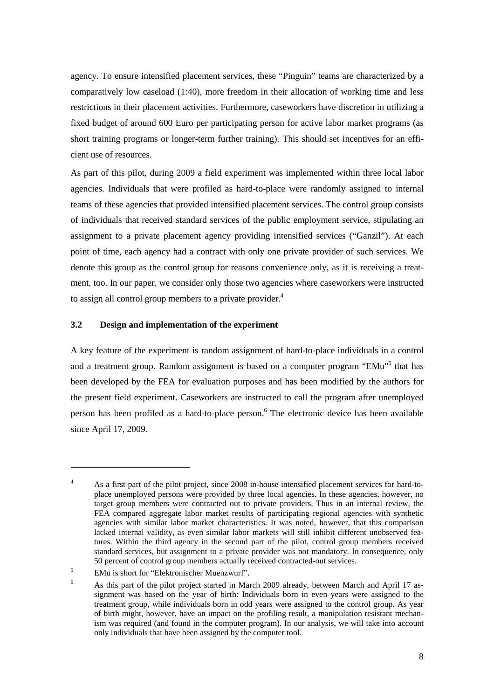agency. To ensure intensified placement services, these "Pinguin" teams are characterized by a comparatively low caseload (1:40), more freedom in their allocation of working time and less restrictions in their placement activities. Furthermore, caseworkers have discretion in utilizing a fixed budget of around 600 Euro per participating person for active labor market programs (as short training programs or longer-term further training). This should set incentives for an efficient use of resources.

As part of this pilot, during 2009 a field experiment was implemented within three local labor agencies. Individuals that were profiled as hard-to-place were randomly assigned to internal teams of these agencies that provided intensified placement services. The control group consists of individuals that received standard services of the public employment service, stipulating an assignment to a private placement agency providing intensified services ("Ganzil"). At each point of time, each agency had a contract with only one private provider of such services. We denote this group as the control group for reasons convenience only, as it is receiving a treatment, too. In our paper, we consider only those two agencies where caseworkers were instructed to assign all control group members to a private provider.<sup>4</sup>

## **3.2 Design and implementation of the experiment**

A key feature of the experiment is random assignment of hard-to-place individuals in a control and a treatment group. Random assignment is based on a computer program "EMu"<sup>5</sup> that has been developed by the FEA for evaluation purposes and has been modified by the authors for the present field experiment. Caseworkers are instructed to call the program after unemployed person has been profiled as a hard-to-place person.<sup>6</sup> The electronic device has been available since April 17, 2009.

 $\overline{a}$ 

<sup>4</sup> As a first part of the pilot project, since 2008 in-house intensified placement services for hard-toplace unemployed persons were provided by three local agencies. In these agencies, however, no target group members were contracted out to private providers. Thus in an internal review, the FEA compared aggregate labor market results of participating regional agencies with synthetic agencies with similar labor market characteristics. It was noted, however, that this comparison lacked internal validity, as even similar labor markets will still inhibit different unobserved features. Within the third agency in the second part of the pilot, control group members received standard services, but assignment to a private provider was not mandatory. In consequence, only 50 percent of control group members actually received contracted-out services.

<sup>5</sup> EMu is short for "Elektronischer Muenzwurf".

<sup>6</sup> As this part of the pilot project started in March 2009 already, between March and April 17 assignment was based on the year of birth: Individuals born in even years were assigned to the treatment group, while individuals born in odd years were assigned to the control group. As year of birth might, however, have an impact on the profiling result, a manipulation resistant mechanism was required (and found in the computer program). In our analysis, we will take into account only individuals that have been assigned by the computer tool.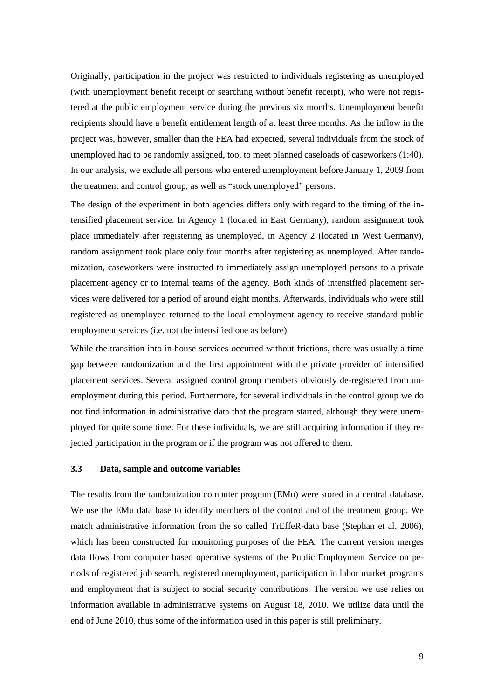Originally, participation in the project was restricted to individuals registering as unemployed (with unemployment benefit receipt or searching without benefit receipt), who were not registered at the public employment service during the previous six months. Unemployment benefit recipients should have a benefit entitlement length of at least three months. As the inflow in the project was, however, smaller than the FEA had expected, several individuals from the stock of unemployed had to be randomly assigned, too, to meet planned caseloads of caseworkers (1:40). In our analysis, we exclude all persons who entered unemployment before January 1, 2009 from the treatment and control group, as well as "stock unemployed" persons.

The design of the experiment in both agencies differs only with regard to the timing of the intensified placement service. In Agency 1 (located in East Germany), random assignment took place immediately after registering as unemployed, in Agency 2 (located in West Germany), random assignment took place only four months after registering as unemployed. After randomization, caseworkers were instructed to immediately assign unemployed persons to a private placement agency or to internal teams of the agency. Both kinds of intensified placement services were delivered for a period of around eight months. Afterwards, individuals who were still registered as unemployed returned to the local employment agency to receive standard public employment services (i.e. not the intensified one as before).

While the transition into in-house services occurred without frictions, there was usually a time gap between randomization and the first appointment with the private provider of intensified placement services. Several assigned control group members obviously de-registered from unemployment during this period. Furthermore, for several individuals in the control group we do not find information in administrative data that the program started, although they were unemployed for quite some time. For these individuals, we are still acquiring information if they rejected participation in the program or if the program was not offered to them.

## **3.3 Data, sample and outcome variables**

The results from the randomization computer program (EMu) were stored in a central database. We use the EMu data base to identify members of the control and of the treatment group. We match administrative information from the so called TrEffeR-data base (Stephan et al. 2006), which has been constructed for monitoring purposes of the FEA. The current version merges data flows from computer based operative systems of the Public Employment Service on periods of registered job search, registered unemployment, participation in labor market programs and employment that is subject to social security contributions. The version we use relies on information available in administrative systems on August 18, 2010. We utilize data until the end of June 2010, thus some of the information used in this paper is still preliminary.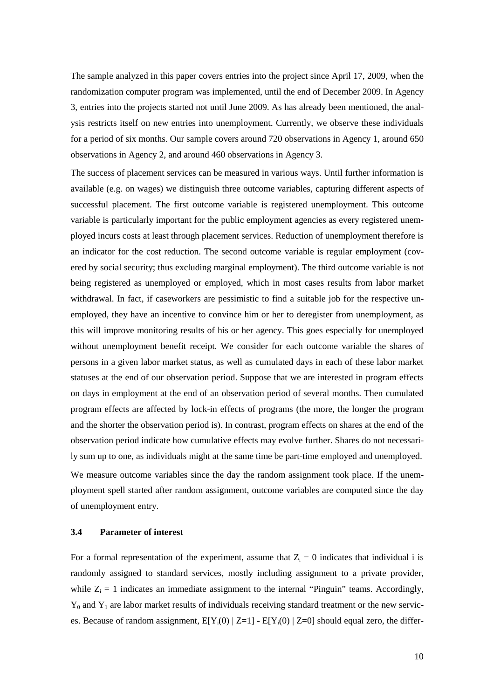The sample analyzed in this paper covers entries into the project since April 17, 2009, when the randomization computer program was implemented, until the end of December 2009. In Agency 3, entries into the projects started not until June 2009. As has already been mentioned, the analysis restricts itself on new entries into unemployment. Currently, we observe these individuals for a period of six months. Our sample covers around 720 observations in Agency 1, around 650 observations in Agency 2, and around 460 observations in Agency 3.

The success of placement services can be measured in various ways. Until further information is available (e.g. on wages) we distinguish three outcome variables, capturing different aspects of successful placement. The first outcome variable is registered unemployment. This outcome variable is particularly important for the public employment agencies as every registered unemployed incurs costs at least through placement services. Reduction of unemployment therefore is an indicator for the cost reduction. The second outcome variable is regular employment (covered by social security; thus excluding marginal employment). The third outcome variable is not being registered as unemployed or employed, which in most cases results from labor market withdrawal. In fact, if caseworkers are pessimistic to find a suitable job for the respective unemployed, they have an incentive to convince him or her to deregister from unemployment, as this will improve monitoring results of his or her agency. This goes especially for unemployed without unemployment benefit receipt. We consider for each outcome variable the shares of persons in a given labor market status, as well as cumulated days in each of these labor market statuses at the end of our observation period. Suppose that we are interested in program effects on days in employment at the end of an observation period of several months. Then cumulated program effects are affected by lock-in effects of programs (the more, the longer the program and the shorter the observation period is). In contrast, program effects on shares at the end of the observation period indicate how cumulative effects may evolve further. Shares do not necessarily sum up to one, as individuals might at the same time be part-time employed and unemployed. We measure outcome variables since the day the random assignment took place. If the unemployment spell started after random assignment, outcome variables are computed since the day of unemployment entry.

## **3.4 Parameter of interest**

For a formal representation of the experiment, assume that  $Z_i = 0$  indicates that individual i is randomly assigned to standard services, mostly including assignment to a private provider, while  $Z_i = 1$  indicates an immediate assignment to the internal "Pinguin" teams. Accordingly,  $Y_0$  and  $Y_1$  are labor market results of individuals receiving standard treatment or the new services. Because of random assignment,  $E[Y_i(0) | Z=1] - E[Y_i(0) | Z=0]$  should equal zero, the differ-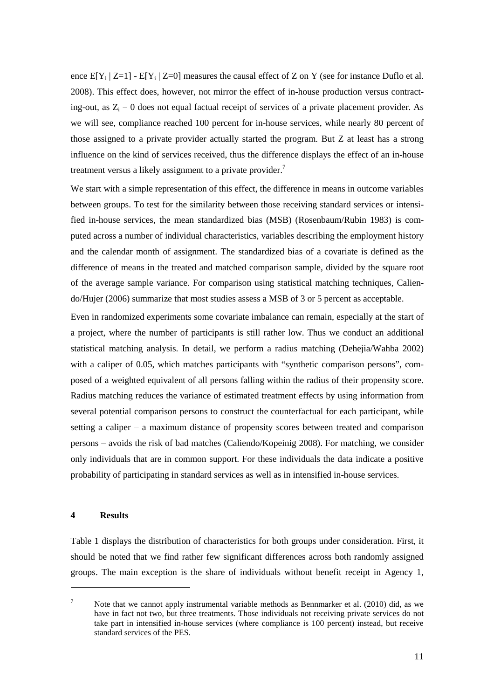ence  $E[Y_i | Z=1]$  -  $E[Y_i | Z=0]$  measures the causal effect of Z on Y (see for instance Duflo et al. 2008). This effect does, however, not mirror the effect of in-house production versus contracting-out, as  $Z_i = 0$  does not equal factual receipt of services of a private placement provider. As we will see, compliance reached 100 percent for in-house services, while nearly 80 percent of those assigned to a private provider actually started the program. But Z at least has a strong influence on the kind of services received, thus the difference displays the effect of an in-house treatment versus a likely assignment to a private provider.<sup>7</sup>

We start with a simple representation of this effect, the difference in means in outcome variables between groups. To test for the similarity between those receiving standard services or intensified in-house services, the mean standardized bias (MSB) (Rosenbaum/Rubin 1983) is computed across a number of individual characteristics, variables describing the employment history and the calendar month of assignment. The standardized bias of a covariate is defined as the difference of means in the treated and matched comparison sample, divided by the square root of the average sample variance. For comparison using statistical matching techniques, Caliendo/Hujer (2006) summarize that most studies assess a MSB of 3 or 5 percent as acceptable.

Even in randomized experiments some covariate imbalance can remain, especially at the start of a project, where the number of participants is still rather low. Thus we conduct an additional statistical matching analysis. In detail, we perform a radius matching (Dehejia/Wahba 2002) with a caliper of 0.05, which matches participants with "synthetic comparison persons", composed of a weighted equivalent of all persons falling within the radius of their propensity score. Radius matching reduces the variance of estimated treatment effects by using information from several potential comparison persons to construct the counterfactual for each participant, while setting a caliper – a maximum distance of propensity scores between treated and comparison persons – avoids the risk of bad matches (Caliendo/Kopeinig 2008). For matching, we consider only individuals that are in common support. For these individuals the data indicate a positive probability of participating in standard services as well as in intensified in-house services.

#### **4 Results**

 $\overline{a}$ 

Table 1 displays the distribution of characteristics for both groups under consideration. First, it should be noted that we find rather few significant differences across both randomly assigned groups. The main exception is the share of individuals without benefit receipt in Agency 1,

<sup>7</sup> Note that we cannot apply instrumental variable methods as Bennmarker et al. (2010) did, as we have in fact not two, but three treatments. Those individuals not receiving private services do not take part in intensified in-house services (where compliance is 100 percent) instead, but receive standard services of the PES.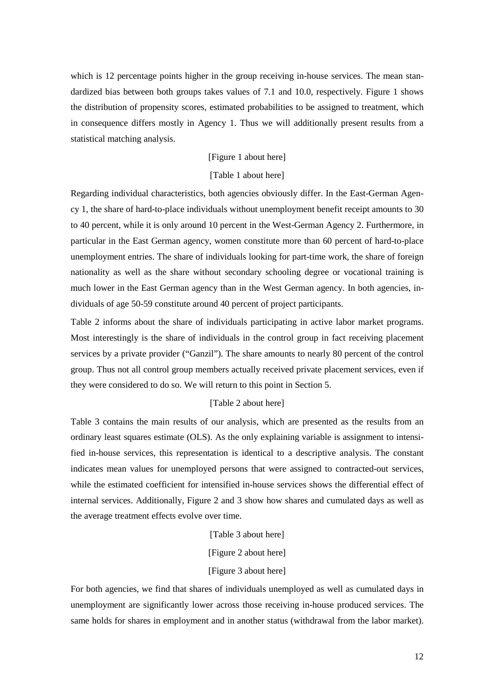which is 12 percentage points higher in the group receiving in-house services. The mean standardized bias between both groups takes values of 7.1 and 10.0, respectively. Figure 1 shows the distribution of propensity scores, estimated probabilities to be assigned to treatment, which in consequence differs mostly in Agency 1. Thus we will additionally present results from a statistical matching analysis.

## [Figure 1 about here]

#### [Table 1 about here]

Regarding individual characteristics, both agencies obviously differ. In the East-German Agency 1, the share of hard-to-place individuals without unemployment benefit receipt amounts to 30 to 40 percent, while it is only around 10 percent in the West-German Agency 2. Furthermore, in particular in the East German agency, women constitute more than 60 percent of hard-to-place unemployment entries. The share of individuals looking for part-time work, the share of foreign nationality as well as the share without secondary schooling degree or vocational training is much lower in the East German agency than in the West German agency. In both agencies, individuals of age 50-59 constitute around 40 percent of project participants.

Table 2 informs about the share of individuals participating in active labor market programs. Most interestingly is the share of individuals in the control group in fact receiving placement services by a private provider ("Ganzil"). The share amounts to nearly 80 percent of the control group. Thus not all control group members actually received private placement services, even if they were considered to do so. We will return to this point in Section 5.

## [Table 2 about here]

Table 3 contains the main results of our analysis, which are presented as the results from an ordinary least squares estimate (OLS). As the only explaining variable is assignment to intensified in-house services, this representation is identical to a descriptive analysis. The constant indicates mean values for unemployed persons that were assigned to contracted-out services, while the estimated coefficient for intensified in-house services shows the differential effect of internal services. Additionally, Figure 2 and 3 show how shares and cumulated days as well as the average treatment effects evolve over time.

- [Table 3 about here]
- [Figure 2 about here]

## [Figure 3 about here]

For both agencies, we find that shares of individuals unemployed as well as cumulated days in unemployment are significantly lower across those receiving in-house produced services. The same holds for shares in employment and in another status (withdrawal from the labor market).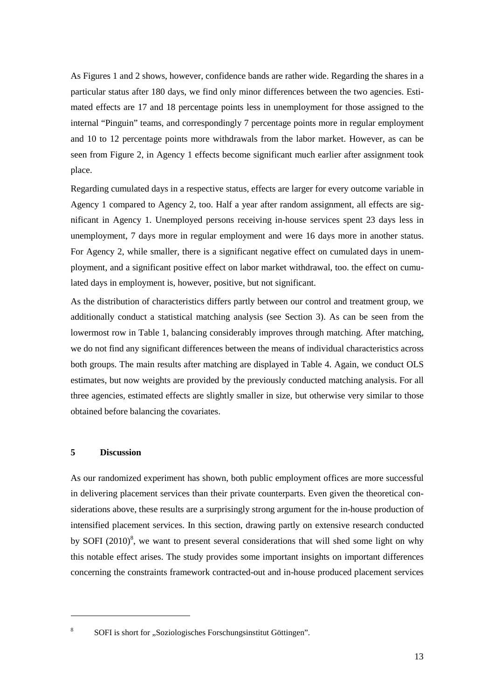As Figures 1 and 2 shows, however, confidence bands are rather wide. Regarding the shares in a particular status after 180 days, we find only minor differences between the two agencies. Estimated effects are 17 and 18 percentage points less in unemployment for those assigned to the internal "Pinguin" teams, and correspondingly 7 percentage points more in regular employment and 10 to 12 percentage points more withdrawals from the labor market. However, as can be seen from Figure 2, in Agency 1 effects become significant much earlier after assignment took place.

Regarding cumulated days in a respective status, effects are larger for every outcome variable in Agency 1 compared to Agency 2, too. Half a year after random assignment, all effects are significant in Agency 1. Unemployed persons receiving in-house services spent 23 days less in unemployment, 7 days more in regular employment and were 16 days more in another status. For Agency 2, while smaller, there is a significant negative effect on cumulated days in unemployment, and a significant positive effect on labor market withdrawal, too. the effect on cumulated days in employment is, however, positive, but not significant.

As the distribution of characteristics differs partly between our control and treatment group, we additionally conduct a statistical matching analysis (see Section 3). As can be seen from the lowermost row in Table 1, balancing considerably improves through matching. After matching, we do not find any significant differences between the means of individual characteristics across both groups. The main results after matching are displayed in Table 4. Again, we conduct OLS estimates, but now weights are provided by the previously conducted matching analysis. For all three agencies, estimated effects are slightly smaller in size, but otherwise very similar to those obtained before balancing the covariates.

## **5 Discussion**

 $\overline{a}$ 

As our randomized experiment has shown, both public employment offices are more successful in delivering placement services than their private counterparts. Even given the theoretical considerations above, these results are a surprisingly strong argument for the in-house production of intensified placement services. In this section, drawing partly on extensive research conducted by SOFI  $(2010)^8$ , we want to present several considerations that will shed some light on why this notable effect arises. The study provides some important insights on important differences concerning the constraints framework contracted-out and in-house produced placement services

<sup>8</sup> SOFI is short for "Soziologisches Forschungsinstitut Göttingen".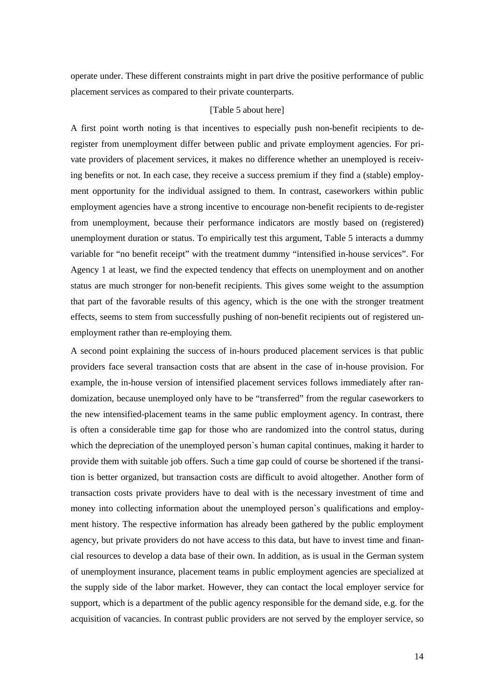operate under. These different constraints might in part drive the positive performance of public placement services as compared to their private counterparts.

#### [Table 5 about here]

A first point worth noting is that incentives to especially push non-benefit recipients to deregister from unemployment differ between public and private employment agencies. For private providers of placement services, it makes no difference whether an unemployed is receiving benefits or not. In each case, they receive a success premium if they find a (stable) employment opportunity for the individual assigned to them. In contrast, caseworkers within public employment agencies have a strong incentive to encourage non-benefit recipients to de-register from unemployment, because their performance indicators are mostly based on (registered) unemployment duration or status. To empirically test this argument, Table 5 interacts a dummy variable for "no benefit receipt" with the treatment dummy "intensified in-house services". For Agency 1 at least, we find the expected tendency that effects on unemployment and on another status are much stronger for non-benefit recipients. This gives some weight to the assumption that part of the favorable results of this agency, which is the one with the stronger treatment effects, seems to stem from successfully pushing of non-benefit recipients out of registered unemployment rather than re-employing them.

A second point explaining the success of in-hours produced placement services is that public providers face several transaction costs that are absent in the case of in-house provision. For example, the in-house version of intensified placement services follows immediately after randomization, because unemployed only have to be "transferred" from the regular caseworkers to the new intensified-placement teams in the same public employment agency. In contrast, there is often a considerable time gap for those who are randomized into the control status, during which the depreciation of the unemployed person`s human capital continues, making it harder to provide them with suitable job offers. Such a time gap could of course be shortened if the transition is better organized, but transaction costs are difficult to avoid altogether. Another form of transaction costs private providers have to deal with is the necessary investment of time and money into collecting information about the unemployed person`s qualifications and employment history. The respective information has already been gathered by the public employment agency, but private providers do not have access to this data, but have to invest time and financial resources to develop a data base of their own. In addition, as is usual in the German system of unemployment insurance, placement teams in public employment agencies are specialized at the supply side of the labor market. However, they can contact the local employer service for support, which is a department of the public agency responsible for the demand side, e.g. for the acquisition of vacancies. In contrast public providers are not served by the employer service, so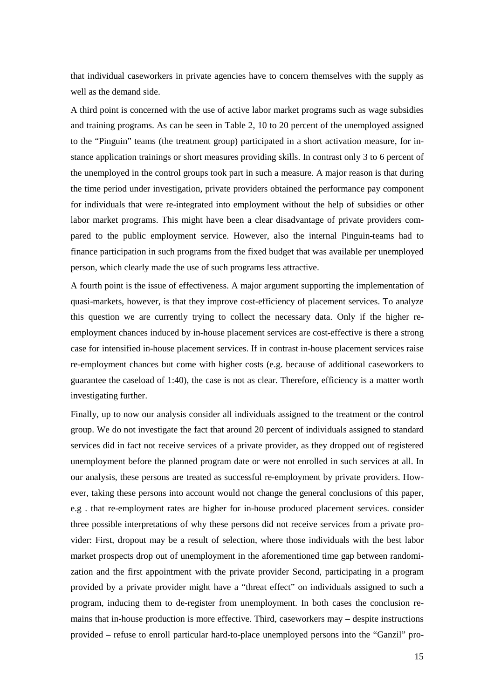that individual caseworkers in private agencies have to concern themselves with the supply as well as the demand side.

A third point is concerned with the use of active labor market programs such as wage subsidies and training programs. As can be seen in Table 2, 10 to 20 percent of the unemployed assigned to the "Pinguin" teams (the treatment group) participated in a short activation measure, for instance application trainings or short measures providing skills. In contrast only 3 to 6 percent of the unemployed in the control groups took part in such a measure. A major reason is that during the time period under investigation, private providers obtained the performance pay component for individuals that were re-integrated into employment without the help of subsidies or other labor market programs. This might have been a clear disadvantage of private providers compared to the public employment service. However, also the internal Pinguin-teams had to finance participation in such programs from the fixed budget that was available per unemployed person, which clearly made the use of such programs less attractive.

A fourth point is the issue of effectiveness. A major argument supporting the implementation of quasi-markets, however, is that they improve cost-efficiency of placement services. To analyze this question we are currently trying to collect the necessary data. Only if the higher reemployment chances induced by in-house placement services are cost-effective is there a strong case for intensified in-house placement services. If in contrast in-house placement services raise re-employment chances but come with higher costs (e.g. because of additional caseworkers to guarantee the caseload of 1:40), the case is not as clear. Therefore, efficiency is a matter worth investigating further.

Finally, up to now our analysis consider all individuals assigned to the treatment or the control group. We do not investigate the fact that around 20 percent of individuals assigned to standard services did in fact not receive services of a private provider, as they dropped out of registered unemployment before the planned program date or were not enrolled in such services at all. In our analysis, these persons are treated as successful re-employment by private providers. However, taking these persons into account would not change the general conclusions of this paper, e.g . that re-employment rates are higher for in-house produced placement services. consider three possible interpretations of why these persons did not receive services from a private provider: First, dropout may be a result of selection, where those individuals with the best labor market prospects drop out of unemployment in the aforementioned time gap between randomization and the first appointment with the private provider Second, participating in a program provided by a private provider might have a "threat effect" on individuals assigned to such a program, inducing them to de-register from unemployment. In both cases the conclusion remains that in-house production is more effective. Third, caseworkers may – despite instructions provided – refuse to enroll particular hard-to-place unemployed persons into the "Ganzil" pro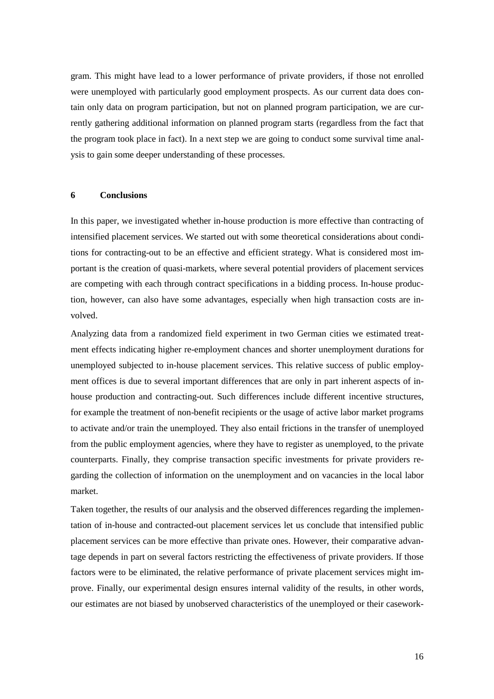gram. This might have lead to a lower performance of private providers, if those not enrolled were unemployed with particularly good employment prospects. As our current data does contain only data on program participation, but not on planned program participation, we are currently gathering additional information on planned program starts (regardless from the fact that the program took place in fact). In a next step we are going to conduct some survival time analysis to gain some deeper understanding of these processes.

## **6 Conclusions**

In this paper, we investigated whether in-house production is more effective than contracting of intensified placement services. We started out with some theoretical considerations about conditions for contracting-out to be an effective and efficient strategy. What is considered most important is the creation of quasi-markets, where several potential providers of placement services are competing with each through contract specifications in a bidding process. In-house production, however, can also have some advantages, especially when high transaction costs are involved.

Analyzing data from a randomized field experiment in two German cities we estimated treatment effects indicating higher re-employment chances and shorter unemployment durations for unemployed subjected to in-house placement services. This relative success of public employment offices is due to several important differences that are only in part inherent aspects of inhouse production and contracting-out. Such differences include different incentive structures, for example the treatment of non-benefit recipients or the usage of active labor market programs to activate and/or train the unemployed. They also entail frictions in the transfer of unemployed from the public employment agencies, where they have to register as unemployed, to the private counterparts. Finally, they comprise transaction specific investments for private providers regarding the collection of information on the unemployment and on vacancies in the local labor market.

Taken together, the results of our analysis and the observed differences regarding the implementation of in-house and contracted-out placement services let us conclude that intensified public placement services can be more effective than private ones. However, their comparative advantage depends in part on several factors restricting the effectiveness of private providers. If those factors were to be eliminated, the relative performance of private placement services might improve. Finally, our experimental design ensures internal validity of the results, in other words, our estimates are not biased by unobserved characteristics of the unemployed or their casework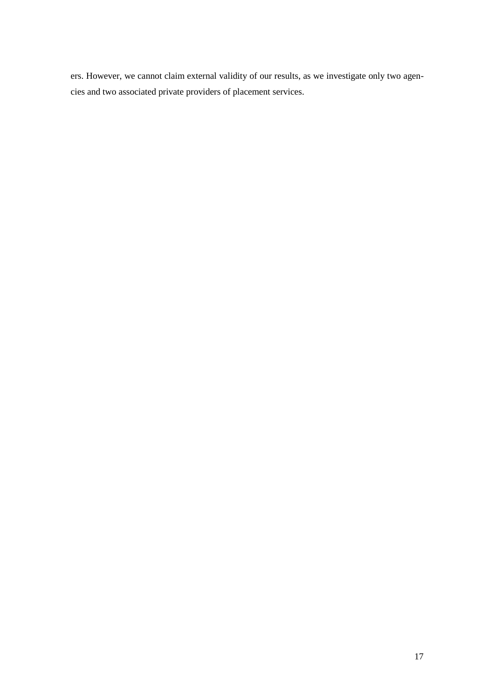ers. However, we cannot claim external validity of our results, as we investigate only two agencies and two associated private providers of placement services.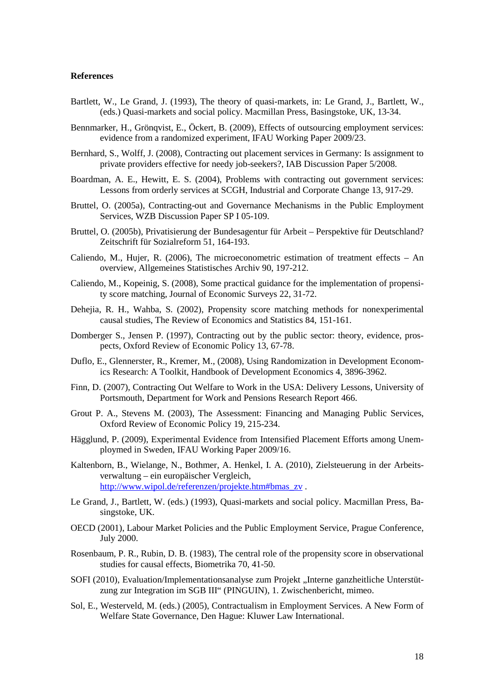#### **References**

- Bartlett, W., Le Grand, J. (1993), The theory of quasi-markets, in: Le Grand, J., Bartlett, W., (eds.) Quasi-markets and social policy. Macmillan Press, Basingstoke, UK, 13-34.
- Bennmarker, H., Grönqvist, E., Öckert, B. (2009), Effects of outsourcing employment services: evidence from a randomized experiment, IFAU Working Paper 2009/23.
- Bernhard, S., Wolff, J. (2008), Contracting out placement services in Germany: Is assignment to private providers effective for needy job-seekers?, IAB Discussion Paper 5/2008.
- Boardman, A. E., Hewitt, E. S. (2004), Problems with contracting out government services: Lessons from orderly services at SCGH, Industrial and Corporate Change 13, 917-29.
- Bruttel, O. (2005a), Contracting-out and Governance Mechanisms in the Public Employment Services, WZB Discussion Paper SP I 05-109.
- Bruttel, O. (2005b), Privatisierung der Bundesagentur für Arbeit Perspektive für Deutschland? Zeitschrift für Sozialreform 51, 164-193.
- Caliendo, M., Hujer, R. (2006), The microeconometric estimation of treatment effects An overview, Allgemeines Statistisches Archiv 90, 197-212.
- Caliendo, M., Kopeinig, S. (2008), Some practical guidance for the implementation of propensity score matching, Journal of Economic Surveys 22, 31-72.
- Dehejia, R. H., Wahba, S. (2002), Propensity score matching methods for nonexperimental causal studies, The Review of Economics and Statistics 84, 151-161.
- Domberger S., Jensen P. (1997), Contracting out by the public sector: theory, evidence, prospects, Oxford Review of Economic Policy 13, 67-78.
- Duflo, E., Glennerster, R., Kremer, M., (2008), Using Randomization in Development Economics Research: A Toolkit, Handbook of Development Economics 4, 3896-3962.
- Finn, D. (2007), Contracting Out Welfare to Work in the USA: Delivery Lessons, University of Portsmouth, Department for Work and Pensions Research Report 466.
- Grout P. A., Stevens M. (2003), The Assessment: Financing and Managing Public Services, Oxford Review of Economic Policy 19, 215-234.
- Hägglund, P. (2009), Experimental Evidence from Intensified Placement Efforts among Unemploymed in Sweden, IFAU Working Paper 2009/16.
- Kaltenborn, B., Wielange, N., Bothmer, A. Henkel, I. A. (2010), Zielsteuerung in der Arbeitsverwaltung – ein europäischer Vergleich, http://www.wipol.de/referenzen/projekte.htm#bmas\_zv .
- Le Grand, J., Bartlett, W. (eds.) (1993), Quasi-markets and social policy. Macmillan Press, Basingstoke, UK.
- OECD (2001), Labour Market Policies and the Public Employment Service, Prague Conference, July 2000.
- Rosenbaum, P. R., Rubin, D. B. (1983), The central role of the propensity score in observational studies for causal effects, Biometrika 70, 41-50.
- SOFI (2010), Evaluation/Implementationsanalyse zum Projekt "Interne ganzheitliche Unterstützung zur Integration im SGB III" (PINGUIN), 1. Zwischenbericht, mimeo.
- Sol, E., Westerveld, M. (eds.) (2005), Contractualism in Employment Services. A New Form of Welfare State Governance, Den Hague: Kluwer Law International.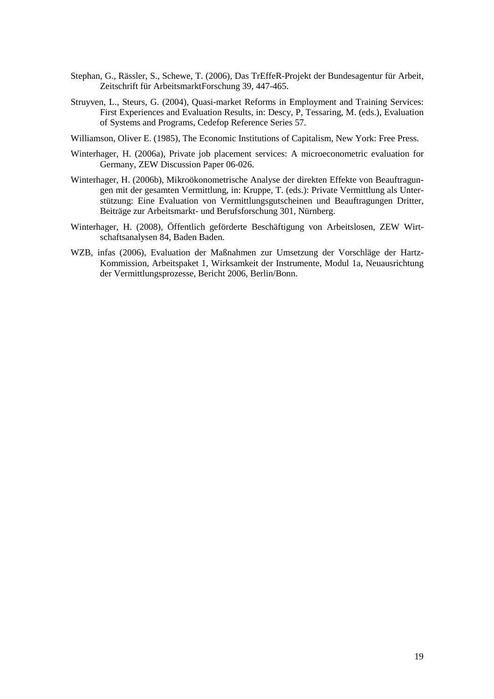- Stephan, G., Rässler, S., Schewe, T. (2006), Das TrEffeR-Projekt der Bundesagentur für Arbeit, Zeitschrift für ArbeitsmarktForschung 39, 447-465.
- Struyven, L., Steurs, G. (2004), Quasi-market Reforms in Employment and Training Services: First Experiences and Evaluation Results, in: Descy, P, Tessaring, M. (eds.), Evaluation of Systems and Programs, Cedefop Reference Series 57.
- Williamson, Oliver E. (1985), The Economic Institutions of Capitalism, New York: Free Press.
- Winterhager, H. (2006a), Private job placement services: A microeconometric evaluation for Germany, ZEW Discussion Paper 06-026.
- Winterhager, H. (2006b), Mikroökonometrische Analyse der direkten Effekte von Beauftragungen mit der gesamten Vermittlung, in: Kruppe, T. (eds.): Private Vermittlung als Unterstützung: Eine Evaluation von Vermittlungsgutscheinen und Beauftragungen Dritter, Beiträge zur Arbeitsmarkt- und Berufsforschung 301, Nürnberg.
- Winterhager, H. (2008), Öffentlich geförderte Beschäftigung von Arbeitslosen, ZEW Wirtschaftsanalysen 84, Baden Baden.
- WZB, infas (2006), Evaluation der Maßnahmen zur Umsetzung der Vorschläge der Hartz-Kommission, Arbeitspaket 1, Wirksamkeit der Instrumente, Modul 1a, Neuausrichtung der Vermittlungsprozesse, Bericht 2006, Berlin/Bonn.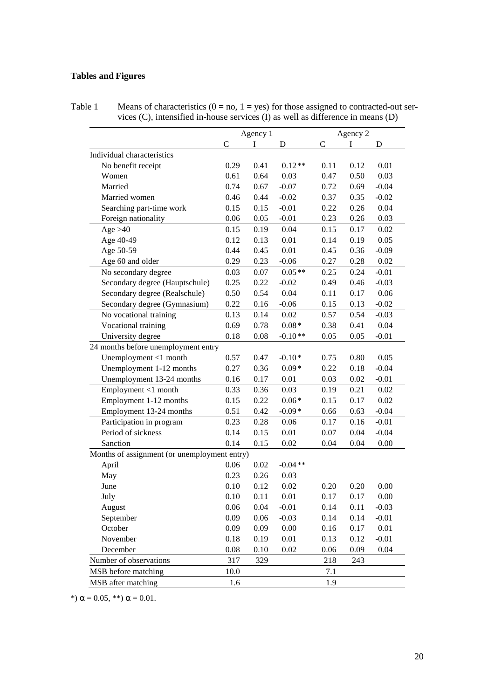## **Tables and Figures**

| Table 1 | Means of characteristics ( $0 = no$ , $1 = yes$ ) for those assigned to contracted-out ser- |
|---------|---------------------------------------------------------------------------------------------|
|         | vices $(C)$ , intensified in-house services $(I)$ as well as difference in means $(D)$      |

|                                              |               | Agency 1 | Agency 2  |              |      |         |
|----------------------------------------------|---------------|----------|-----------|--------------|------|---------|
|                                              | $\mathcal{C}$ | I        | D         | $\mathsf{C}$ | I    | D       |
| Individual characteristics                   |               |          |           |              |      |         |
| No benefit receipt                           | 0.29          | 0.41     | $0.12**$  | 0.11         | 0.12 | 0.01    |
| Women                                        | 0.61          | 0.64     | 0.03      | 0.47         | 0.50 | 0.03    |
| Married                                      | 0.74          | 0.67     | $-0.07$   | 0.72         | 0.69 | $-0.04$ |
| Married women                                | 0.46          | 0.44     | $-0.02$   | 0.37         | 0.35 | $-0.02$ |
| Searching part-time work                     | 0.15          | 0.15     | $-0.01$   | 0.22         | 0.26 | 0.04    |
| Foreign nationality                          | 0.06          | 0.05     | $-0.01$   | 0.23         | 0.26 | 0.03    |
| Age $>40$                                    | 0.15          | 0.19     | 0.04      | 0.15         | 0.17 | 0.02    |
| Age 40-49                                    | 0.12          | 0.13     | 0.01      | 0.14         | 0.19 | 0.05    |
| Age 50-59                                    | 0.44          | 0.45     | 0.01      | 0.45         | 0.36 | $-0.09$ |
| Age 60 and older                             | 0.29          | 0.23     | $-0.06$   | 0.27         | 0.28 | 0.02    |
| No secondary degree                          | 0.03          | 0.07     | $0.05**$  | 0.25         | 0.24 | $-0.01$ |
| Secondary degree (Hauptschule)               | 0.25          | 0.22     | $-0.02$   | 0.49         | 0.46 | $-0.03$ |
| Secondary degree (Realschule)                | 0.50          | 0.54     | 0.04      | 0.11         | 0.17 | 0.06    |
| Secondary degree (Gymnasium)                 | 0.22          | 0.16     | $-0.06$   | 0.15         | 0.13 | $-0.02$ |
| No vocational training                       | 0.13          | 0.14     | 0.02      | 0.57         | 0.54 | $-0.03$ |
| Vocational training                          | 0.69          | 0.78     | $0.08*$   | 0.38         | 0.41 | 0.04    |
| University degree                            | 0.18          | 0.08     | $-0.10**$ | 0.05         | 0.05 | $-0.01$ |
| 24 months before unemployment entry          |               |          |           |              |      |         |
| Unemployment <1 month                        | 0.57          | 0.47     | $-0.10*$  | 0.75         | 0.80 | 0.05    |
| Unemployment 1-12 months                     | 0.27          | 0.36     | $0.09*$   | 0.22         | 0.18 | $-0.04$ |
| Unemployment 13-24 months                    | 0.16          | 0.17     | 0.01      | 0.03         | 0.02 | $-0.01$ |
| Employment <1 month                          | 0.33          | 0.36     | 0.03      | 0.19         | 0.21 | 0.02    |
| Employment 1-12 months                       | 0.15          | 0.22     | $0.06*$   | 0.15         | 0.17 | 0.02    |
| Employment 13-24 months                      | 0.51          | 0.42     | $-0.09*$  | 0.66         | 0.63 | $-0.04$ |
| Participation in program                     | 0.23          | 0.28     | 0.06      | 0.17         | 0.16 | $-0.01$ |
| Period of sickness                           | 0.14          | 0.15     | 0.01      | 0.07         | 0.04 | $-0.04$ |
| Sanction                                     | 0.14          | 0.15     | 0.02      | 0.04         | 0.04 | 0.00    |
| Months of assignment (or unemployment entry) |               |          |           |              |      |         |
| April                                        | 0.06          | 0.02     | $-0.04**$ |              |      |         |
| May                                          | 0.23          | 0.26     | 0.03      |              |      |         |
| June                                         | 0.10          | 0.12     | 0.02      | 0.20         | 0.20 | 0.00    |
| July                                         | 0.10          | 0.11     | 0.01      | 0.17         | 0.17 | 0.00    |
| August                                       | 0.06          | 0.04     | $-0.01$   | 0.14         | 0.11 | $-0.03$ |
| September                                    | 0.09          | 0.06     | $-0.03$   | 0.14         | 0.14 | $-0.01$ |
| October                                      | 0.09          | 0.09     | 0.00      | 0.16         | 0.17 | 0.01    |
| November                                     | 0.18          | 0.19     | 0.01      | 0.13         | 0.12 | $-0.01$ |
| December                                     | 0.08          | 0.10     | 0.02      | 0.06         | 0.09 | 0.04    |
| Number of observations                       | 317           | 329      |           | 218          | 243  |         |
| MSB before matching                          | 10.0          |          |           | 7.1          |      |         |
| MSB after matching                           | 1.6           |          |           | 1.9          |      |         |

\*)  $\alpha$  = 0.05, \*\*)  $\alpha$  = 0.01.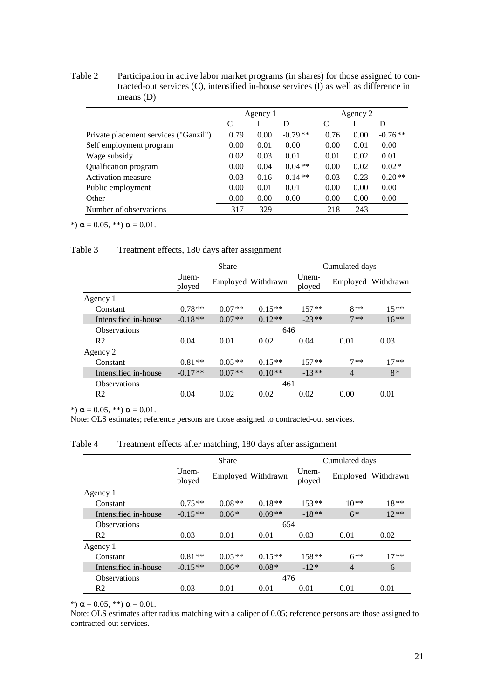Table 2 Participation in active labor market programs (in shares) for those assigned to contracted-out services (C), intensified in-house services (I) as well as difference in means (D)

|                                       | Agency 1 |      |           | Agency 2 |      |           |
|---------------------------------------|----------|------|-----------|----------|------|-----------|
|                                       | C        |      | D         | C        |      | D         |
| Private placement services ("Ganzil") | 0.79     | 0.00 | $-0.79**$ | 0.76     | 0.00 | $-0.76**$ |
| Self employment program               | 0.00     | 0.01 | 0.00      | 0.00     | 0.01 | 0.00      |
| Wage subsidy                          | 0.02     | 0.03 | 0.01      | 0.01     | 0.02 | 0.01      |
| Qualfication program                  | 0.00     | 0.04 | $0.04**$  | 0.00     | 0.02 | $0.02*$   |
| Activation measure                    | 0.03     | 0.16 | $0.14**$  | 0.03     | 0.23 | $0.20**$  |
| Public employment                     | 0.00     | 0.01 | 0.01      | 0.00     | 0.00 | 0.00      |
| Other                                 | 0.00     | 0.00 | 0.00      | 0.00     | 0.00 | 0.00      |
| Number of observations                | 317      | 329  |           | 218      | 243  |           |

\*)  $\alpha = 0.05$ , \*\*)  $\alpha = 0.01$ .

## Table 3 Treatment effects, 180 days after assignment

|                      | Share           |          |                    | Cumulated days     |                |                    |  |
|----------------------|-----------------|----------|--------------------|--------------------|----------------|--------------------|--|
|                      | Unem-<br>ployed |          | Employed Withdrawn | $U$ nem-<br>ployed |                | Employed Withdrawn |  |
| Agency 1             |                 |          |                    |                    |                |                    |  |
| Constant             | $0.78**$        | $0.07**$ | $0.15**$           | $157**$            | $8**$          | $15**$             |  |
| Intensified in-house | $-0.18**$       | $0.07**$ | $0.12**$           | $-23**$            | $7**$          | $16**$             |  |
| <b>Observations</b>  | 646             |          |                    |                    |                |                    |  |
| R <sub>2</sub>       | 0.04            | 0.01     | 0.02               | 0.04               | 0.01           | 0.03               |  |
| Agency 2             |                 |          |                    |                    |                |                    |  |
| Constant             | $0.81**$        | $0.05**$ | $0.15**$           | $157**$            | $7**$          | $17**$             |  |
| Intensified in-house | $-0.17**$       | $0.07**$ | $0.10**$           | $-13**$            | $\overline{4}$ | $8*$               |  |
| <b>Observations</b>  |                 |          | 461                |                    |                |                    |  |
| R <sub>2</sub>       | 0.04            | 0.02     | 0.02               | 0.02               | 0.00           | 0.01               |  |

\*)  $\alpha$  = 0.05, \*\*)  $\alpha$  = 0.01.

Note: OLS estimates; reference persons are those assigned to contracted-out services.

Table 4 Treatment effects after matching, 180 days after assignment

|                      | <b>Share</b>       |          |                    | Cumulated days     |                |           |  |
|----------------------|--------------------|----------|--------------------|--------------------|----------------|-----------|--|
|                      | $U$ nem-<br>ployed |          | Employed Withdrawn | $U$ nem-<br>ployed | Employed       | Withdrawn |  |
| Agency 1             |                    |          |                    |                    |                |           |  |
| Constant             | $0.75**$           | $0.08**$ | $0.18**$           | $153**$            | $10**$         | $18**$    |  |
| Intensified in-house | $-0.15**$          | $0.06*$  | $0.09**$           | $-18**$            | $6*$           | $12**$    |  |
| <b>Observations</b>  | 654                |          |                    |                    |                |           |  |
| R <sub>2</sub>       | 0.03               | 0.01     | 0.01               | 0.03               | 0.01           | 0.02      |  |
| Agency 1             |                    |          |                    |                    |                |           |  |
| Constant             | $0.81**$           | $0.05**$ | $0.15**$           | $158**$            | $6***$         | $17**$    |  |
| Intensified in-house | $-0.15**$          | $0.06*$  | $0.08*$            | $-12*$             | $\overline{4}$ | 6         |  |
| <b>Observations</b>  |                    |          | 476                |                    |                |           |  |
| R <sub>2</sub>       | 0.03               | 0.01     | 0.01               | 0.01               | 0.01           | 0.01      |  |

\*)  $\alpha$  = 0.05, \*\*)  $\alpha$  = 0.01.

Note: OLS estimates after radius matching with a caliper of 0.05; reference persons are those assigned to contracted-out services.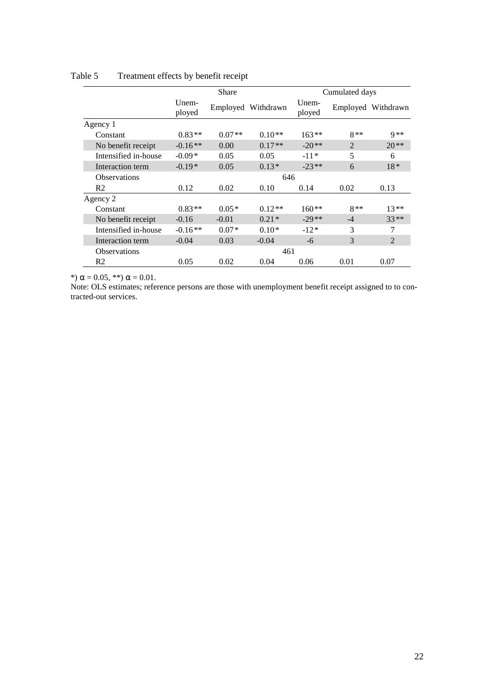|                      | Share           |          |                    | Cumulated days  |                |                    |  |
|----------------------|-----------------|----------|--------------------|-----------------|----------------|--------------------|--|
|                      | Unem-<br>ployed |          | Employed Withdrawn | Unem-<br>ployed |                | Employed Withdrawn |  |
| Agency 1             |                 |          |                    |                 |                |                    |  |
| Constant             | $0.83**$        | $0.07**$ | $0.10**$           | $163**$         | $8**$          | $9**$              |  |
| No benefit receipt   | $-0.16**$       | 0.00     | $0.17**$           | $-20**$         | $\mathfrak{D}$ | $20**$             |  |
| Intensified in-house | $-0.09*$        | 0.05     | 0.05               | $-11*$          | 5              | 6                  |  |
| Interaction term     | $-0.19*$        | 0.05     | $0.13*$            | $-23**$         | 6              | $18*$              |  |
| <b>Observations</b>  |                 | 646      |                    |                 |                |                    |  |
| R <sub>2</sub>       | 0.12            | 0.02     | 0.10               | 0.14            | 0.02           | 0.13               |  |
| Agency 2             |                 |          |                    |                 |                |                    |  |
| Constant             | $0.83**$        | $0.05*$  | $0.12**$           | $160**$         | $8**$          | $13**$             |  |
| No benefit receipt   | $-0.16$         | $-0.01$  | $0.21*$            | $-29**$         | $-4$           | $33**$             |  |
| Intensified in-house | $-0.16**$       | $0.07*$  | $0.10*$            | $-12*$          | 3              | 7                  |  |
| Interaction term     | $-0.04$         | 0.03     | $-0.04$            | -6              | 3              | $\overline{2}$     |  |
| <b>Observations</b>  |                 |          | 461                |                 |                |                    |  |
| R <sub>2</sub>       | 0.05            | 0.02     | 0.04               | 0.06            | 0.01           | 0.07               |  |

## Table 5 Treatment effects by benefit receipt

\*)  $\alpha$  = 0.05, \*\*)  $\alpha$  = 0.01.

Note: OLS estimates; reference persons are those with unemployment benefit receipt assigned to to contracted-out services.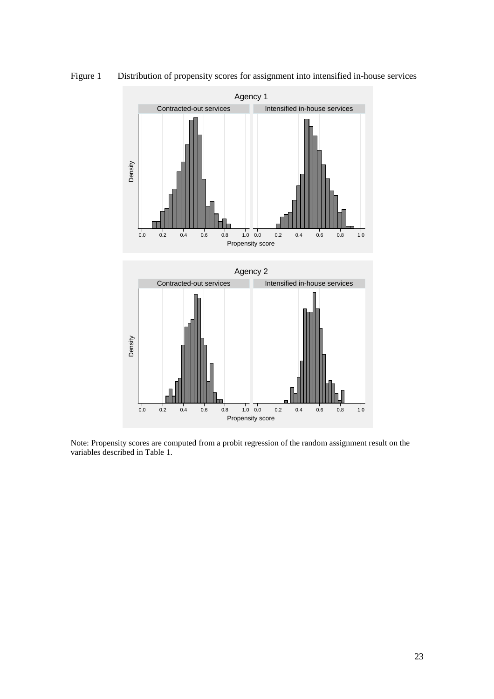

Figure 1 Distribution of propensity scores for assignment into intensified in-house services

Note: Propensity scores are computed from a probit regression of the random assignment result on the variables described in Table 1.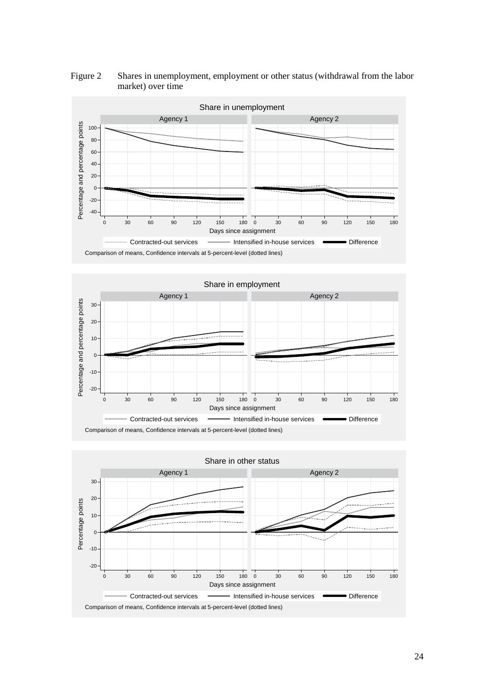